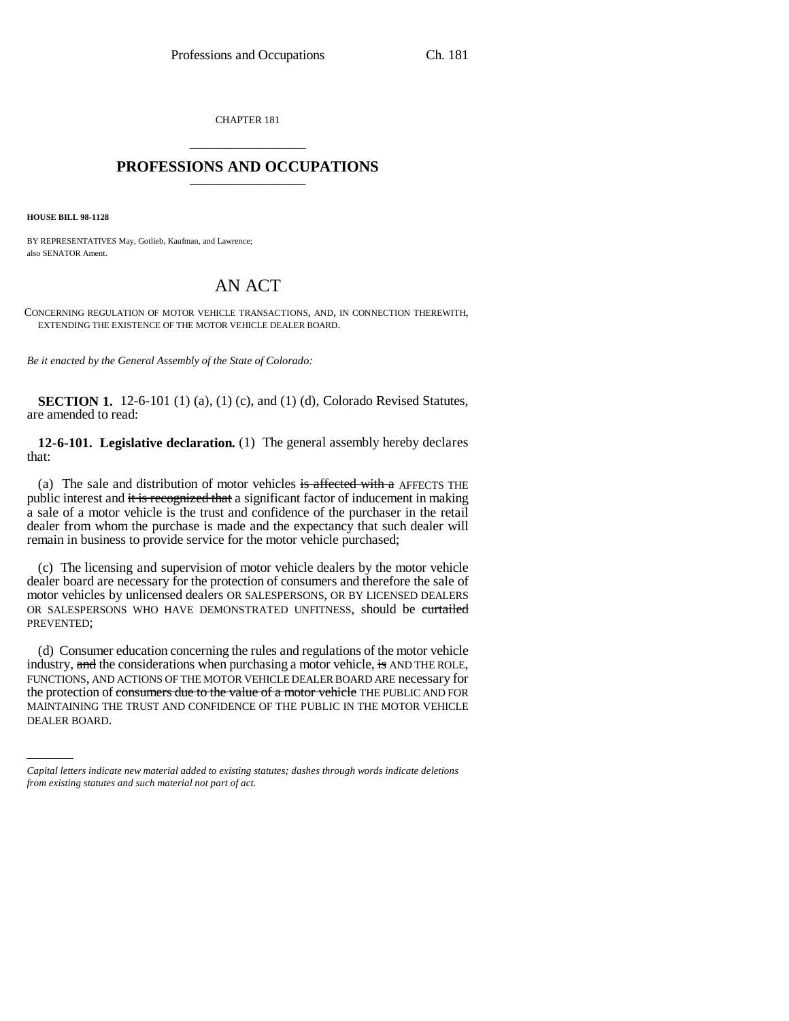CHAPTER 181 \_\_\_\_\_\_\_\_\_\_\_\_\_\_\_

# **PROFESSIONS AND OCCUPATIONS** \_\_\_\_\_\_\_\_\_\_\_\_\_\_\_

**HOUSE BILL 98-1128**

BY REPRESENTATIVES May, Gotlieb, Kaufman, and Lawrence; also SENATOR Ament.

# AN ACT

CONCERNING REGULATION OF MOTOR VEHICLE TRANSACTIONS, AND, IN CONNECTION THEREWITH, EXTENDING THE EXISTENCE OF THE MOTOR VEHICLE DEALER BOARD.

*Be it enacted by the General Assembly of the State of Colorado:*

**SECTION 1.** 12-6-101 (1) (a), (1) (c), and (1) (d), Colorado Revised Statutes, are amended to read:

**12-6-101. Legislative declaration.** (1) The general assembly hereby declares that:

(a) The sale and distribution of motor vehicles is affected with a AFFECTS THE public interest and it is recognized that a significant factor of inducement in making a sale of a motor vehicle is the trust and confidence of the purchaser in the retail dealer from whom the purchase is made and the expectancy that such dealer will remain in business to provide service for the motor vehicle purchased;

(c) The licensing and supervision of motor vehicle dealers by the motor vehicle dealer board are necessary for the protection of consumers and therefore the sale of motor vehicles by unlicensed dealers OR SALESPERSONS, OR BY LICENSED DEALERS OR SALESPERSONS WHO HAVE DEMONSTRATED UNFITNESS, should be curtailed PREVENTED;

DEALER BOARD.(d) Consumer education concerning the rules and regulations of the motor vehicle industry, and the considerations when purchasing a motor vehicle, is AND THE ROLE, FUNCTIONS, AND ACTIONS OF THE MOTOR VEHICLE DEALER BOARD ARE necessary for the protection of consumers due to the value of a motor vehicle THE PUBLIC AND FOR MAINTAINING THE TRUST AND CONFIDENCE OF THE PUBLIC IN THE MOTOR VEHICLE

*Capital letters indicate new material added to existing statutes; dashes through words indicate deletions from existing statutes and such material not part of act.*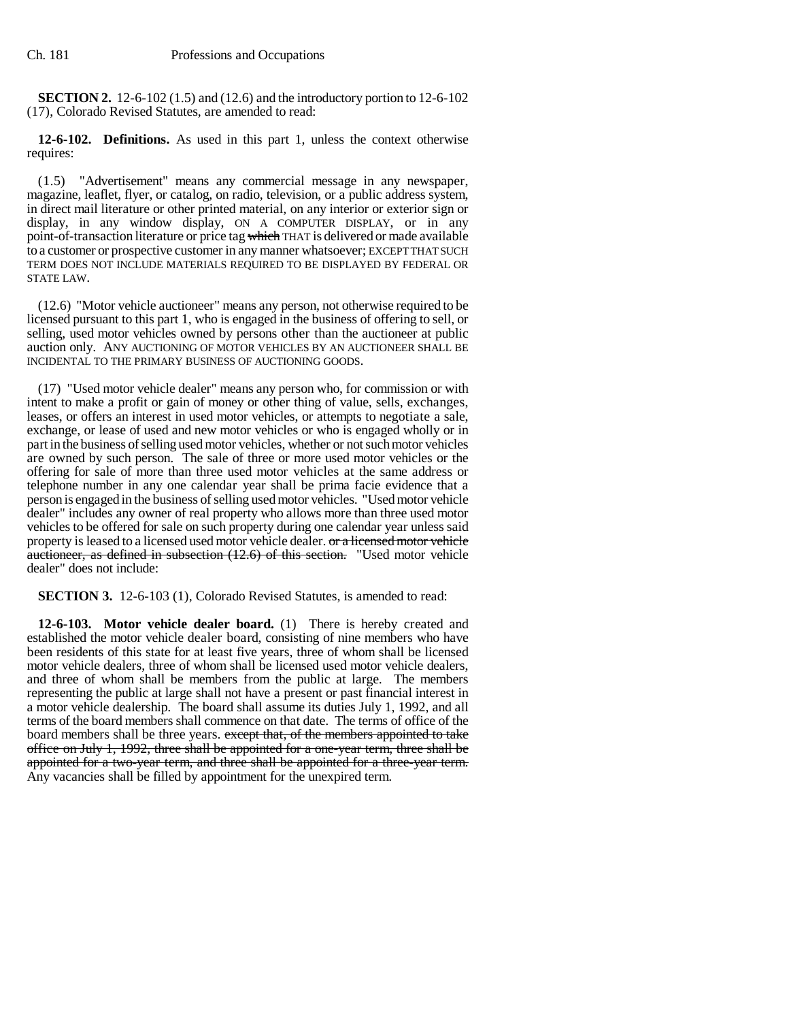**SECTION 2.** 12-6-102 (1.5) and (12.6) and the introductory portion to 12-6-102 (17), Colorado Revised Statutes, are amended to read:

**12-6-102. Definitions.** As used in this part 1, unless the context otherwise requires:

(1.5) "Advertisement" means any commercial message in any newspaper, magazine, leaflet, flyer, or catalog, on radio, television, or a public address system, in direct mail literature or other printed material, on any interior or exterior sign or display, in any window display, ON A COMPUTER DISPLAY, or in any point-of-transaction literature or price tag which THAT is delivered or made available to a customer or prospective customer in any manner whatsoever; EXCEPT THAT SUCH TERM DOES NOT INCLUDE MATERIALS REQUIRED TO BE DISPLAYED BY FEDERAL OR STATE LAW.

(12.6) "Motor vehicle auctioneer" means any person, not otherwise required to be licensed pursuant to this part 1, who is engaged in the business of offering to sell, or selling, used motor vehicles owned by persons other than the auctioneer at public auction only. ANY AUCTIONING OF MOTOR VEHICLES BY AN AUCTIONEER SHALL BE INCIDENTAL TO THE PRIMARY BUSINESS OF AUCTIONING GOODS.

(17) "Used motor vehicle dealer" means any person who, for commission or with intent to make a profit or gain of money or other thing of value, sells, exchanges, leases, or offers an interest in used motor vehicles, or attempts to negotiate a sale, exchange, or lease of used and new motor vehicles or who is engaged wholly or in part in the business of selling used motor vehicles, whether or not such motor vehicles are owned by such person. The sale of three or more used motor vehicles or the offering for sale of more than three used motor vehicles at the same address or telephone number in any one calendar year shall be prima facie evidence that a person is engaged in the business of selling used motor vehicles. "Used motor vehicle dealer" includes any owner of real property who allows more than three used motor vehicles to be offered for sale on such property during one calendar year unless said property is leased to a licensed used motor vehicle dealer. or a licensed motor vehicle auctioneer, as defined in subsection (12.6) of this section. "Used motor vehicle dealer" does not include:

**SECTION 3.** 12-6-103 (1), Colorado Revised Statutes, is amended to read:

**12-6-103. Motor vehicle dealer board.** (1) There is hereby created and established the motor vehicle dealer board, consisting of nine members who have been residents of this state for at least five years, three of whom shall be licensed motor vehicle dealers, three of whom shall be licensed used motor vehicle dealers, and three of whom shall be members from the public at large. The members representing the public at large shall not have a present or past financial interest in a motor vehicle dealership. The board shall assume its duties July 1, 1992, and all terms of the board members shall commence on that date. The terms of office of the board members shall be three years. except that, of the members appointed to take office on July 1, 1992, three shall be appointed for a one-year term, three shall be appointed for a two-year term, and three shall be appointed for a three-year term. Any vacancies shall be filled by appointment for the unexpired term.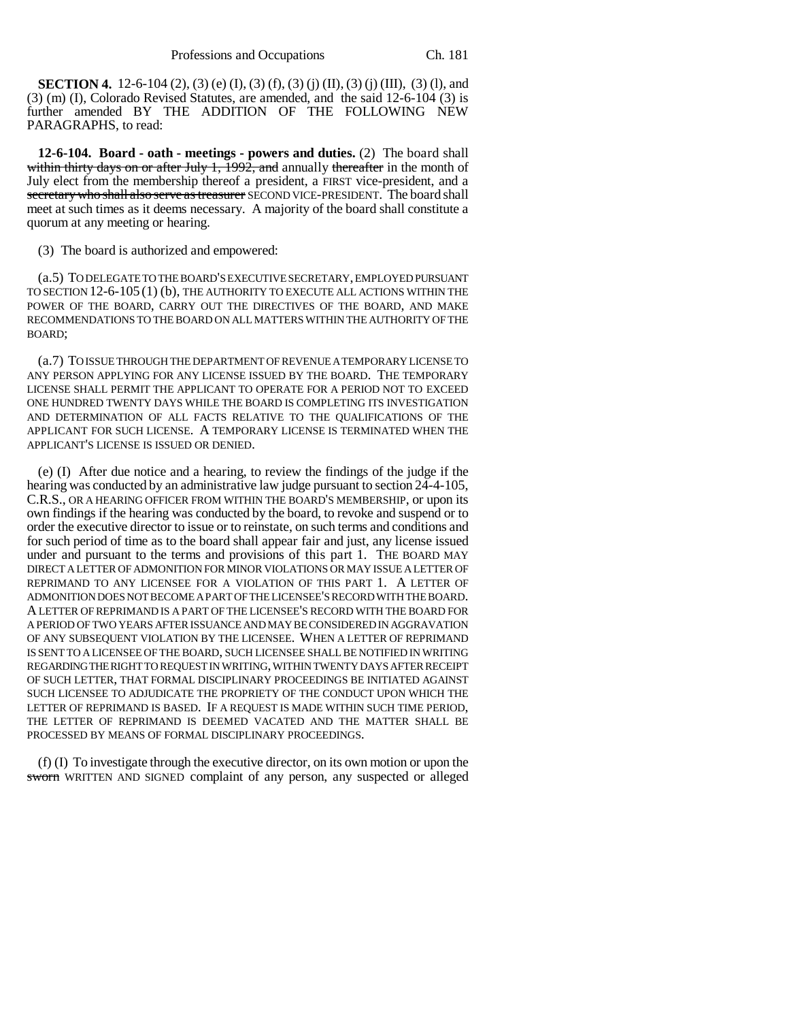**SECTION 4.** 12-6-104 (2), (3) (e) (I), (3) (f), (3) (j) (II), (3) (j) (III), (3) (l), and (3) (m) (I), Colorado Revised Statutes, are amended, and the said 12-6-104 (3) is further amended BY THE ADDITION OF THE FOLLOWING NEW PARAGRAPHS, to read:

**12-6-104. Board - oath - meetings - powers and duties.** (2) The board shall within thirty days on or after July 1,  $\overline{1992}$ , and annually thereafter in the month of July elect from the membership thereof a president, a FIRST vice-president, and a secretary who shall also serve as treasurer SECOND VICE-PRESIDENT. The board shall meet at such times as it deems necessary. A majority of the board shall constitute a quorum at any meeting or hearing.

(3) The board is authorized and empowered:

(a.5) TO DELEGATE TO THE BOARD'S EXECUTIVE SECRETARY, EMPLOYED PURSUANT TO SECTION 12-6-105 (1) (b), THE AUTHORITY TO EXECUTE ALL ACTIONS WITHIN THE POWER OF THE BOARD, CARRY OUT THE DIRECTIVES OF THE BOARD, AND MAKE RECOMMENDATIONS TO THE BOARD ON ALL MATTERS WITHIN THE AUTHORITY OF THE BOARD;

(a.7) TO ISSUE THROUGH THE DEPARTMENT OF REVENUE A TEMPORARY LICENSE TO ANY PERSON APPLYING FOR ANY LICENSE ISSUED BY THE BOARD. THE TEMPORARY LICENSE SHALL PERMIT THE APPLICANT TO OPERATE FOR A PERIOD NOT TO EXCEED ONE HUNDRED TWENTY DAYS WHILE THE BOARD IS COMPLETING ITS INVESTIGATION AND DETERMINATION OF ALL FACTS RELATIVE TO THE QUALIFICATIONS OF THE APPLICANT FOR SUCH LICENSE. A TEMPORARY LICENSE IS TERMINATED WHEN THE APPLICANT'S LICENSE IS ISSUED OR DENIED.

(e) (I) After due notice and a hearing, to review the findings of the judge if the hearing was conducted by an administrative law judge pursuant to section 24-4-105, C.R.S., OR A HEARING OFFICER FROM WITHIN THE BOARD'S MEMBERSHIP, or upon its own findings if the hearing was conducted by the board, to revoke and suspend or to order the executive director to issue or to reinstate, on such terms and conditions and for such period of time as to the board shall appear fair and just, any license issued under and pursuant to the terms and provisions of this part 1. THE BOARD MAY DIRECT A LETTER OF ADMONITION FOR MINOR VIOLATIONS OR MAY ISSUE A LETTER OF REPRIMAND TO ANY LICENSEE FOR A VIOLATION OF THIS PART 1. A LETTER OF ADMONITION DOES NOT BECOME A PART OF THE LICENSEE'S RECORD WITH THE BOARD. A LETTER OF REPRIMAND IS A PART OF THE LICENSEE'S RECORD WITH THE BOARD FOR A PERIOD OF TWO YEARS AFTER ISSUANCE AND MAY BE CONSIDERED IN AGGRAVATION OF ANY SUBSEQUENT VIOLATION BY THE LICENSEE. WHEN A LETTER OF REPRIMAND IS SENT TO A LICENSEE OF THE BOARD, SUCH LICENSEE SHALL BE NOTIFIED IN WRITING REGARDING THE RIGHT TO REQUEST IN WRITING, WITHIN TWENTY DAYS AFTER RECEIPT OF SUCH LETTER, THAT FORMAL DISCIPLINARY PROCEEDINGS BE INITIATED AGAINST SUCH LICENSEE TO ADJUDICATE THE PROPRIETY OF THE CONDUCT UPON WHICH THE LETTER OF REPRIMAND IS BASED. IF A REQUEST IS MADE WITHIN SUCH TIME PERIOD, THE LETTER OF REPRIMAND IS DEEMED VACATED AND THE MATTER SHALL BE PROCESSED BY MEANS OF FORMAL DISCIPLINARY PROCEEDINGS.

(f) (I) To investigate through the executive director, on its own motion or upon the sworn WRITTEN AND SIGNED complaint of any person, any suspected or alleged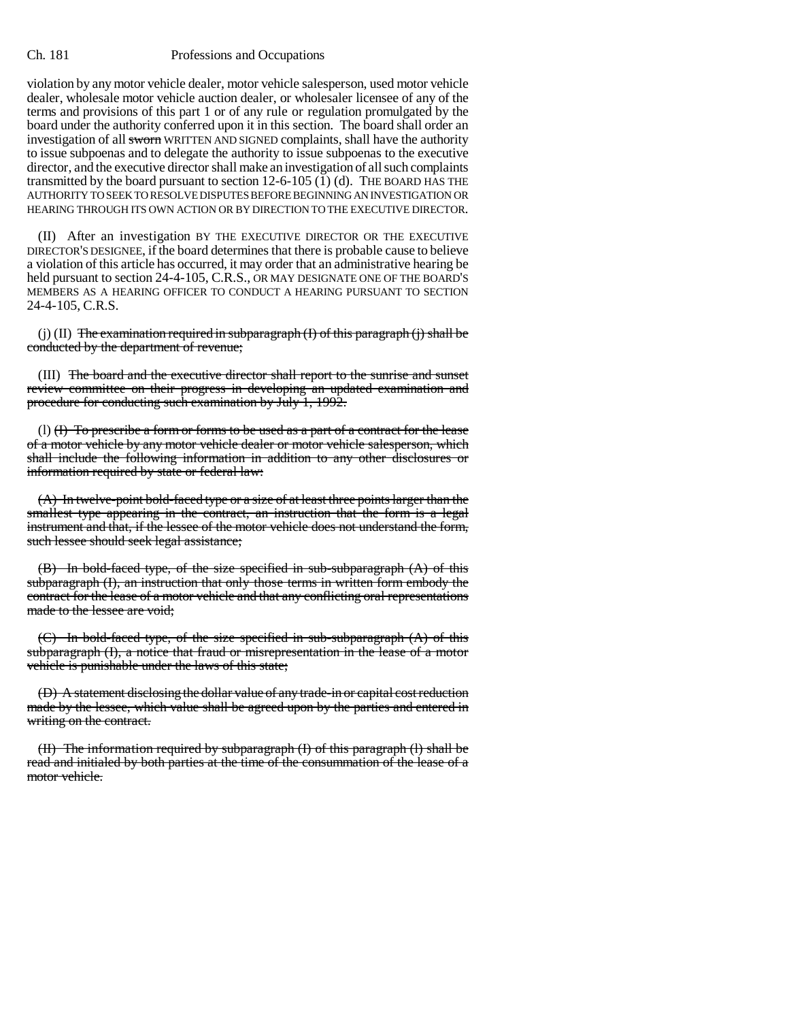#### Ch. 181 Professions and Occupations

violation by any motor vehicle dealer, motor vehicle salesperson, used motor vehicle dealer, wholesale motor vehicle auction dealer, or wholesaler licensee of any of the terms and provisions of this part 1 or of any rule or regulation promulgated by the board under the authority conferred upon it in this section. The board shall order an investigation of all sworn WRITTEN AND SIGNED complaints, shall have the authority to issue subpoenas and to delegate the authority to issue subpoenas to the executive director, and the executive director shall make an investigation of all such complaints transmitted by the board pursuant to section 12-6-105 (1) (d). THE BOARD HAS THE AUTHORITY TO SEEK TO RESOLVE DISPUTES BEFORE BEGINNING AN INVESTIGATION OR HEARING THROUGH ITS OWN ACTION OR BY DIRECTION TO THE EXECUTIVE DIRECTOR.

(II) After an investigation BY THE EXECUTIVE DIRECTOR OR THE EXECUTIVE DIRECTOR'S DESIGNEE, if the board determines that there is probable cause to believe a violation of this article has occurred, it may order that an administrative hearing be held pursuant to section 24-4-105, C.R.S., OR MAY DESIGNATE ONE OF THE BOARD'S MEMBERS AS A HEARING OFFICER TO CONDUCT A HEARING PURSUANT TO SECTION 24-4-105, C.R.S.

 $(i)$  (II) The examination required in subparagraph  $(I)$  of this paragraph  $(i)$  shall be conducted by the department of revenue;

(III) The board and the executive director shall report to the sunrise and sunset review committee on their progress in developing an updated examination and procedure for conducting such examination by July 1, 1992.

(I)  $(H)$  To prescribe a form or forms to be used as a part of a contract for the lease of a motor vehicle by any motor vehicle dealer or motor vehicle salesperson, which shall include the following information in addition to any other disclosures or information required by state or federal law:

 $(A)$  In twelve-point bold-faced type or a size of at least three points larger than the smallest type appearing in the contract, an instruction that the form is a legal instrument and that, if the lessee of the motor vehicle does not understand the form, such lessee should seek legal assistance;

(B) In bold-faced type, of the size specified in sub-subparagraph (A) of this subparagraph (I), an instruction that only those terms in written form embody the contract for the lease of a motor vehicle and that any conflicting oral representations made to the lessee are void;

(C) In bold-faced type, of the size specified in sub-subparagraph (A) of this subparagraph (I), a notice that fraud or misrepresentation in the lease of a motor vehicle is punishable under the laws of this state;

(D) A statement disclosing the dollar value of any trade-in or capital cost reduction made by the lessee, which value shall be agreed upon by the parties and entered in writing on the contract.

(II) The information required by subparagraph (I) of this paragraph (l) shall be read and initialed by both parties at the time of the consummation of the lease of a motor vehicle.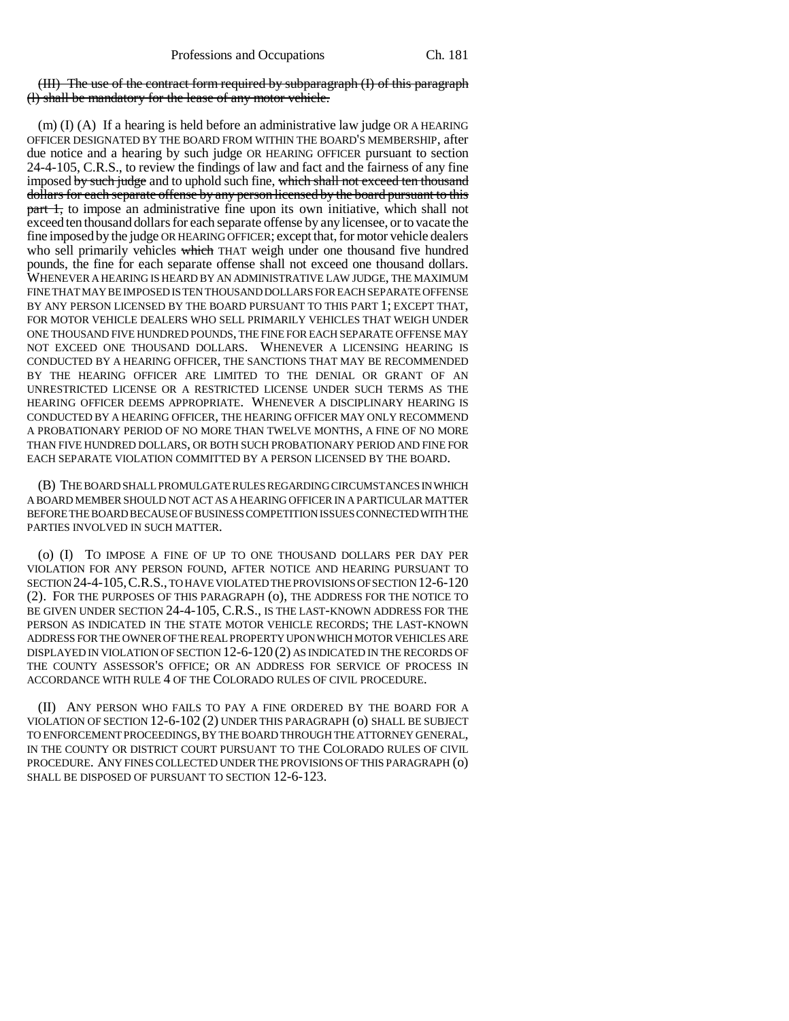## (III) The use of the contract form required by subparagraph (I) of this paragraph (l) shall be mandatory for the lease of any motor vehicle.

 $(m)$  (I) (A) If a hearing is held before an administrative law judge OR A HEARING OFFICER DESIGNATED BY THE BOARD FROM WITHIN THE BOARD'S MEMBERSHIP, after due notice and a hearing by such judge OR HEARING OFFICER pursuant to section 24-4-105, C.R.S., to review the findings of law and fact and the fairness of any fine imposed by such judge and to uphold such fine, which shall not exceed ten thousand dollars for each separate offense by any person licensed by the board pursuant to this part 1, to impose an administrative fine upon its own initiative, which shall not exceed ten thousand dollars for each separate offense by any licensee, or to vacate the fine imposed by the judge OR HEARING OFFICER; except that, for motor vehicle dealers who sell primarily vehicles which THAT weigh under one thousand five hundred pounds, the fine for each separate offense shall not exceed one thousand dollars. WHENEVER A HEARING IS HEARD BY AN ADMINISTRATIVE LAW JUDGE, THE MAXIMUM FINE THAT MAY BE IMPOSED IS TEN THOUSAND DOLLARS FOR EACH SEPARATE OFFENSE BY ANY PERSON LICENSED BY THE BOARD PURSUANT TO THIS PART 1; EXCEPT THAT, FOR MOTOR VEHICLE DEALERS WHO SELL PRIMARILY VEHICLES THAT WEIGH UNDER ONE THOUSAND FIVE HUNDRED POUNDS, THE FINE FOR EACH SEPARATE OFFENSE MAY NOT EXCEED ONE THOUSAND DOLLARS. WHENEVER A LICENSING HEARING IS CONDUCTED BY A HEARING OFFICER, THE SANCTIONS THAT MAY BE RECOMMENDED BY THE HEARING OFFICER ARE LIMITED TO THE DENIAL OR GRANT OF AN UNRESTRICTED LICENSE OR A RESTRICTED LICENSE UNDER SUCH TERMS AS THE HEARING OFFICER DEEMS APPROPRIATE. WHENEVER A DISCIPLINARY HEARING IS CONDUCTED BY A HEARING OFFICER, THE HEARING OFFICER MAY ONLY RECOMMEND A PROBATIONARY PERIOD OF NO MORE THAN TWELVE MONTHS, A FINE OF NO MORE THAN FIVE HUNDRED DOLLARS, OR BOTH SUCH PROBATIONARY PERIOD AND FINE FOR EACH SEPARATE VIOLATION COMMITTED BY A PERSON LICENSED BY THE BOARD.

(B) THE BOARD SHALL PROMULGATE RULES REGARDING CIRCUMSTANCES IN WHICH A BOARD MEMBER SHOULD NOT ACT AS A HEARING OFFICER IN A PARTICULAR MATTER BEFORE THE BOARD BECAUSE OF BUSINESS COMPETITION ISSUES CONNECTED WITH THE PARTIES INVOLVED IN SUCH MATTER.

(o) (I) TO IMPOSE A FINE OF UP TO ONE THOUSAND DOLLARS PER DAY PER VIOLATION FOR ANY PERSON FOUND, AFTER NOTICE AND HEARING PURSUANT TO SECTION 24-4-105,C.R.S., TO HAVE VIOLATED THE PROVISIONS OF SECTION 12-6-120 (2). FOR THE PURPOSES OF THIS PARAGRAPH (o), THE ADDRESS FOR THE NOTICE TO BE GIVEN UNDER SECTION 24-4-105, C.R.S., IS THE LAST-KNOWN ADDRESS FOR THE PERSON AS INDICATED IN THE STATE MOTOR VEHICLE RECORDS; THE LAST-KNOWN ADDRESS FOR THE OWNER OF THE REAL PROPERTY UPON WHICH MOTOR VEHICLES ARE DISPLAYED IN VIOLATION OF SECTION 12-6-120 (2) AS INDICATED IN THE RECORDS OF THE COUNTY ASSESSOR'S OFFICE; OR AN ADDRESS FOR SERVICE OF PROCESS IN ACCORDANCE WITH RULE 4 OF THE COLORADO RULES OF CIVIL PROCEDURE.

(II) ANY PERSON WHO FAILS TO PAY A FINE ORDERED BY THE BOARD FOR A VIOLATION OF SECTION 12-6-102 (2) UNDER THIS PARAGRAPH (o) SHALL BE SUBJECT TO ENFORCEMENT PROCEEDINGS, BY THE BOARD THROUGH THE ATTORNEY GENERAL, IN THE COUNTY OR DISTRICT COURT PURSUANT TO THE COLORADO RULES OF CIVIL PROCEDURE. ANY FINES COLLECTED UNDER THE PROVISIONS OF THIS PARAGRAPH (o) SHALL BE DISPOSED OF PURSUANT TO SECTION 12-6-123.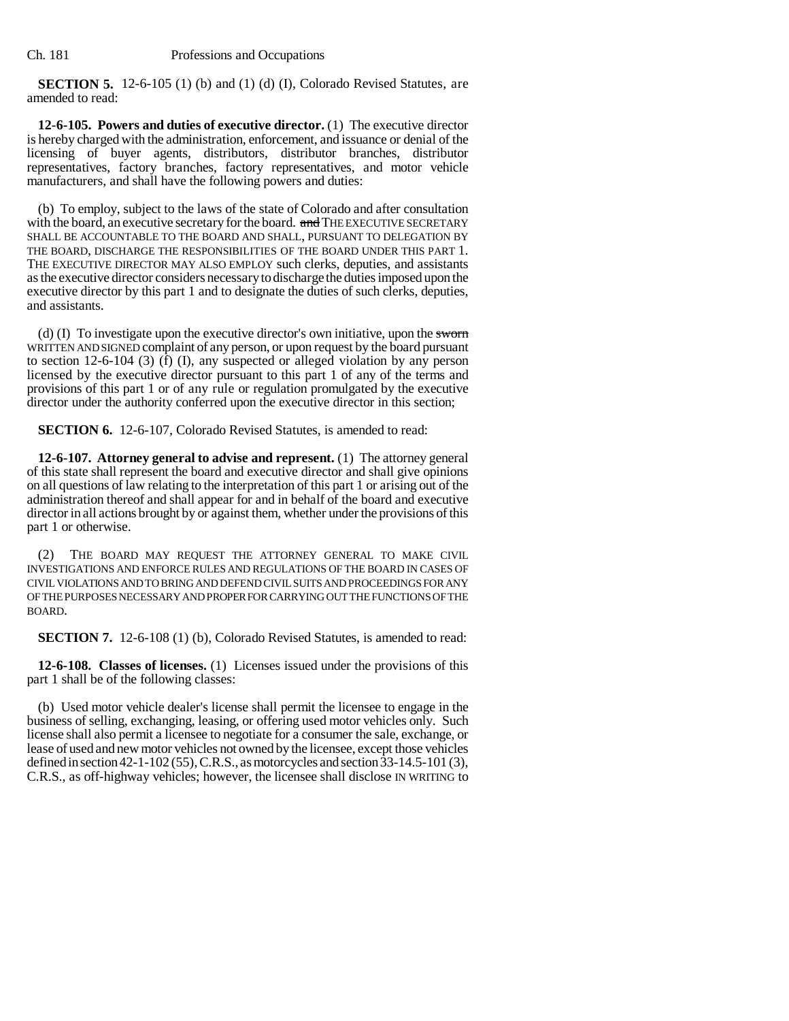**SECTION 5.** 12-6-105 (1) (b) and (1) (d) (I), Colorado Revised Statutes, are amended to read:

**12-6-105. Powers and duties of executive director.** (1) The executive director is hereby charged with the administration, enforcement, and issuance or denial of the licensing of buyer agents, distributors, distributor branches, distributor representatives, factory branches, factory representatives, and motor vehicle manufacturers, and shall have the following powers and duties:

(b) To employ, subject to the laws of the state of Colorado and after consultation with the board, an executive secretary for the board. and THE EXECUTIVE SECRETARY SHALL BE ACCOUNTABLE TO THE BOARD AND SHALL, PURSUANT TO DELEGATION BY THE BOARD, DISCHARGE THE RESPONSIBILITIES OF THE BOARD UNDER THIS PART 1. THE EXECUTIVE DIRECTOR MAY ALSO EMPLOY such clerks, deputies, and assistants as the executive director considers necessary to discharge the duties imposed upon the executive director by this part 1 and to designate the duties of such clerks, deputies, and assistants.

(d)  $(I)$  To investigate upon the executive director's own initiative, upon the sworn WRITTEN AND SIGNED complaint of any person, or upon request by the board pursuant to section 12-6-104 (3)  $(f)$  (I), any suspected or alleged violation by any person licensed by the executive director pursuant to this part 1 of any of the terms and provisions of this part 1 or of any rule or regulation promulgated by the executive director under the authority conferred upon the executive director in this section;

**SECTION 6.** 12-6-107, Colorado Revised Statutes, is amended to read:

**12-6-107. Attorney general to advise and represent.** (1) The attorney general of this state shall represent the board and executive director and shall give opinions on all questions of law relating to the interpretation of this part 1 or arising out of the administration thereof and shall appear for and in behalf of the board and executive director in all actions brought by or against them, whether under the provisions of this part 1 or otherwise.

(2) THE BOARD MAY REQUEST THE ATTORNEY GENERAL TO MAKE CIVIL INVESTIGATIONS AND ENFORCE RULES AND REGULATIONS OF THE BOARD IN CASES OF CIVIL VIOLATIONS AND TO BRING AND DEFEND CIVIL SUITS AND PROCEEDINGS FOR ANY OF THE PURPOSES NECESSARY AND PROPER FOR CARRYING OUT THE FUNCTIONS OF THE BOARD.

**SECTION 7.** 12-6-108 (1) (b), Colorado Revised Statutes, is amended to read:

**12-6-108. Classes of licenses.** (1) Licenses issued under the provisions of this part 1 shall be of the following classes:

(b) Used motor vehicle dealer's license shall permit the licensee to engage in the business of selling, exchanging, leasing, or offering used motor vehicles only. Such license shall also permit a licensee to negotiate for a consumer the sale, exchange, or lease of used and new motor vehicles not owned by the licensee, except those vehicles defined in section 42-1-102 (55), C.R.S., as motorcycles and section 33-14.5-101 (3), C.R.S., as off-highway vehicles; however, the licensee shall disclose IN WRITING to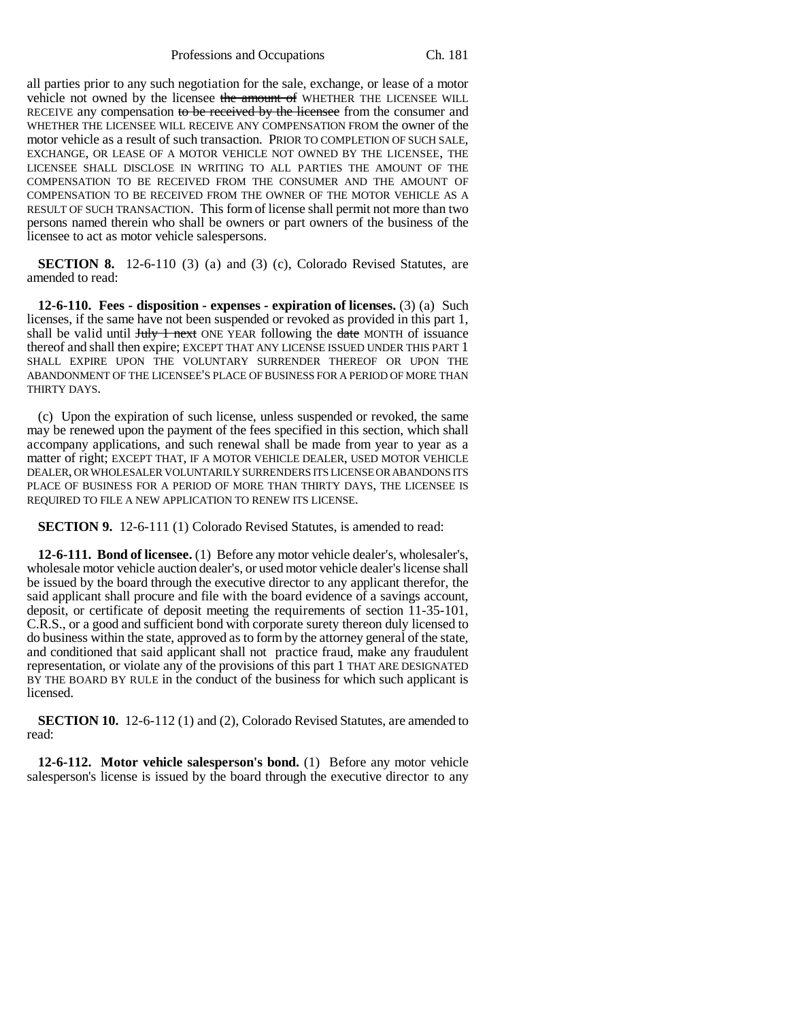Professions and Occupations Ch. 181

all parties prior to any such negotiation for the sale, exchange, or lease of a motor vehicle not owned by the licensee the amount of WHETHER THE LICENSEE WILL RECEIVE any compensation to be received by the licensee from the consumer and WHETHER THE LICENSEE WILL RECEIVE ANY COMPENSATION FROM the owner of the motor vehicle as a result of such transaction. PRIOR TO COMPLETION OF SUCH SALE, EXCHANGE, OR LEASE OF A MOTOR VEHICLE NOT OWNED BY THE LICENSEE, THE LICENSEE SHALL DISCLOSE IN WRITING TO ALL PARTIES THE AMOUNT OF THE COMPENSATION TO BE RECEIVED FROM THE CONSUMER AND THE AMOUNT OF COMPENSATION TO BE RECEIVED FROM THE OWNER OF THE MOTOR VEHICLE AS A RESULT OF SUCH TRANSACTION. This form of license shall permit not more than two persons named therein who shall be owners or part owners of the business of the licensee to act as motor vehicle salespersons.

**SECTION 8.** 12-6-110 (3) (a) and (3) (c), Colorado Revised Statutes, are amended to read:

**12-6-110. Fees - disposition - expenses - expiration of licenses.** (3) (a) Such licenses, if the same have not been suspended or revoked as provided in this part 1, shall be valid until  $J_{\text{t}}/J_{\text{t}}$  hext ONE YEAR following the date MONTH of issuance thereof and shall then expire; EXCEPT THAT ANY LICENSE ISSUED UNDER THIS PART 1 SHALL EXPIRE UPON THE VOLUNTARY SURRENDER THEREOF OR UPON THE ABANDONMENT OF THE LICENSEE'S PLACE OF BUSINESS FOR A PERIOD OF MORE THAN THIRTY DAYS.

(c) Upon the expiration of such license, unless suspended or revoked, the same may be renewed upon the payment of the fees specified in this section, which shall accompany applications, and such renewal shall be made from year to year as a matter of right; EXCEPT THAT, IF A MOTOR VEHICLE DEALER, USED MOTOR VEHICLE DEALER, OR WHOLESALER VOLUNTARILY SURRENDERS ITS LICENSE OR ABANDONS ITS PLACE OF BUSINESS FOR A PERIOD OF MORE THAN THIRTY DAYS, THE LICENSEE IS REQUIRED TO FILE A NEW APPLICATION TO RENEW ITS LICENSE.

**SECTION 9.** 12-6-111 (1) Colorado Revised Statutes, is amended to read:

**12-6-111. Bond of licensee.** (1) Before any motor vehicle dealer's, wholesaler's, wholesale motor vehicle auction dealer's, or used motor vehicle dealer's license shall be issued by the board through the executive director to any applicant therefor, the said applicant shall procure and file with the board evidence of a savings account, deposit, or certificate of deposit meeting the requirements of section 11-35-101, C.R.S., or a good and sufficient bond with corporate surety thereon duly licensed to do business within the state, approved as to form by the attorney general of the state, and conditioned that said applicant shall not practice fraud, make any fraudulent representation, or violate any of the provisions of this part 1 THAT ARE DESIGNATED BY THE BOARD BY RULE in the conduct of the business for which such applicant is licensed.

**SECTION 10.** 12-6-112 (1) and (2), Colorado Revised Statutes, are amended to read:

**12-6-112. Motor vehicle salesperson's bond.** (1) Before any motor vehicle salesperson's license is issued by the board through the executive director to any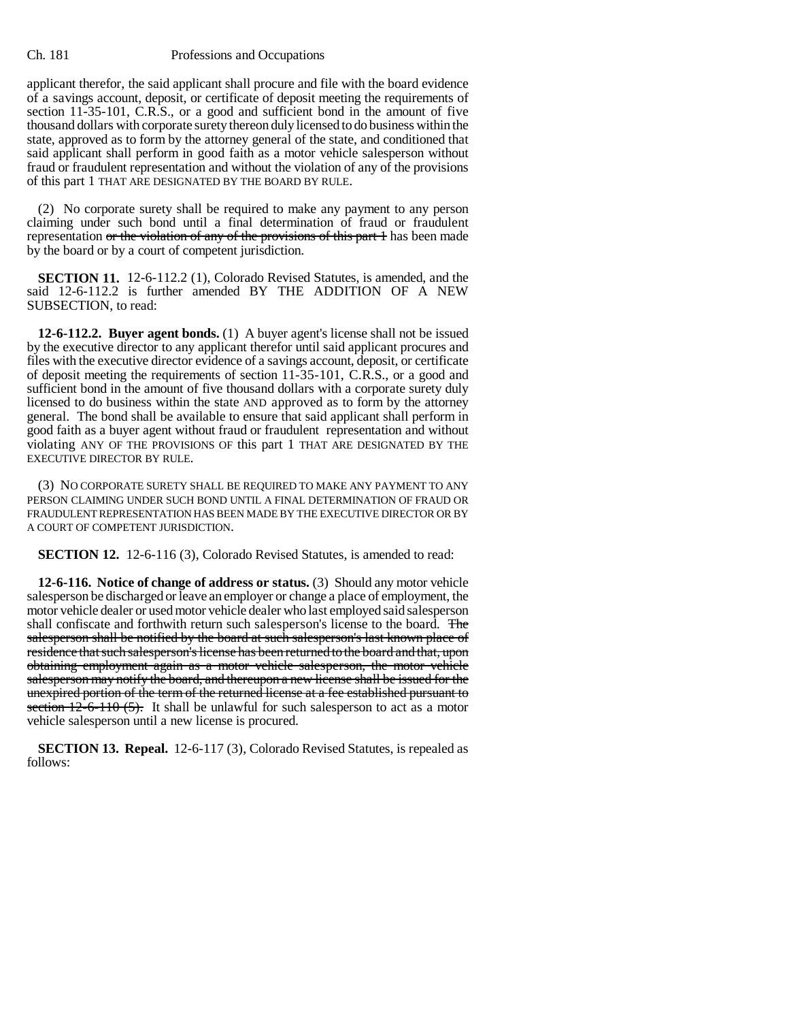#### Ch. 181 Professions and Occupations

applicant therefor, the said applicant shall procure and file with the board evidence of a savings account, deposit, or certificate of deposit meeting the requirements of section 11-35-101, C.R.S., or a good and sufficient bond in the amount of five thousand dollars with corporate surety thereon duly licensed to do business within the state, approved as to form by the attorney general of the state, and conditioned that said applicant shall perform in good faith as a motor vehicle salesperson without fraud or fraudulent representation and without the violation of any of the provisions of this part 1 THAT ARE DESIGNATED BY THE BOARD BY RULE.

(2) No corporate surety shall be required to make any payment to any person claiming under such bond until a final determination of fraud or fraudulent representation  $\sigma$  the violation of any of the provisions of this part  $\uparrow$  has been made by the board or by a court of competent jurisdiction.

**SECTION 11.** 12-6-112.2 (1), Colorado Revised Statutes, is amended, and the said 12-6-112.2 is further amended BY THE ADDITION OF A NEW SUBSECTION, to read:

**12-6-112.2. Buyer agent bonds.** (1) A buyer agent's license shall not be issued by the executive director to any applicant therefor until said applicant procures and files with the executive director evidence of a savings account, deposit, or certificate of deposit meeting the requirements of section 11-35-101, C.R.S., or a good and sufficient bond in the amount of five thousand dollars with a corporate surety duly licensed to do business within the state AND approved as to form by the attorney general. The bond shall be available to ensure that said applicant shall perform in good faith as a buyer agent without fraud or fraudulent representation and without violating ANY OF THE PROVISIONS OF this part 1 THAT ARE DESIGNATED BY THE EXECUTIVE DIRECTOR BY RULE.

(3) NO CORPORATE SURETY SHALL BE REQUIRED TO MAKE ANY PAYMENT TO ANY PERSON CLAIMING UNDER SUCH BOND UNTIL A FINAL DETERMINATION OF FRAUD OR FRAUDULENT REPRESENTATION HAS BEEN MADE BY THE EXECUTIVE DIRECTOR OR BY A COURT OF COMPETENT JURISDICTION.

**SECTION 12.** 12-6-116 (3), Colorado Revised Statutes, is amended to read:

**12-6-116. Notice of change of address or status.** (3) Should any motor vehicle salesperson be discharged or leave an employer or change a place of employment, the motor vehicle dealer or used motor vehicle dealer who last employed said salesperson shall confiscate and forthwith return such salesperson's license to the board. The salesperson shall be notified by the board at such salesperson's last known place of residence that such salesperson's license has been returned to the board and that, upon obtaining employment again as a motor vehicle salesperson, the motor vehicle salesperson may notify the board, and thereupon a new license shall be issued for the unexpired portion of the term of the returned license at a fee established pursuant to section  $12-6-110(5)$ . It shall be unlawful for such salesperson to act as a motor vehicle salesperson until a new license is procured.

**SECTION 13. Repeal.** 12-6-117 (3), Colorado Revised Statutes, is repealed as follows: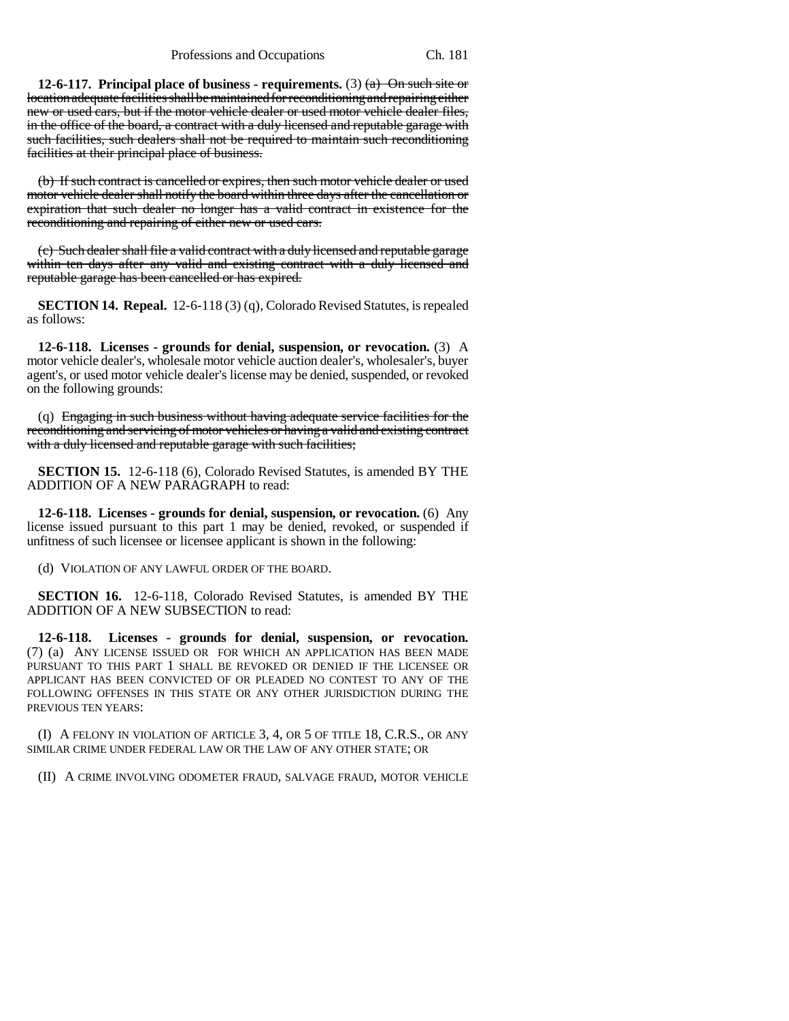**12-6-117.** Principal place of business - requirements. (3)  $(a)$   $\overrightarrow{On}$  such site or location adequate facilities shall be maintained for reconditioning and repairing either new or used cars, but if the motor vehicle dealer or used motor vehicle dealer files, in the office of the board, a contract with a duly licensed and reputable garage with such facilities, such dealers shall not be required to maintain such reconditioning facilities at their principal place of business.

(b) If such contract is cancelled or expires, then such motor vehicle dealer or used motor vehicle dealer shall notify the board within three days after the cancellation or expiration that such dealer no longer has a valid contract in existence for the reconditioning and repairing of either new or used cars.

(c) Such dealer shall file a valid contract with a duly licensed and reputable garage within ten days after any valid and existing contract with a duly licensed and reputable garage has been cancelled or has expired.

**SECTION 14. Repeal.** 12-6-118 (3) (q), Colorado Revised Statutes, is repealed as follows:

**12-6-118. Licenses - grounds for denial, suspension, or revocation.** (3) A motor vehicle dealer's, wholesale motor vehicle auction dealer's, wholesaler's, buyer agent's, or used motor vehicle dealer's license may be denied, suspended, or revoked on the following grounds:

(q) Engaging in such business without having adequate service facilities for the reconditioning and servicing of motor vehicles or having a valid and existing contract with a duly licensed and reputable garage with such facilities;

**SECTION 15.** 12-6-118 (6), Colorado Revised Statutes, is amended BY THE ADDITION OF A NEW PARAGRAPH to read:

**12-6-118. Licenses - grounds for denial, suspension, or revocation.** (6) Any license issued pursuant to this part 1 may be denied, revoked, or suspended if unfitness of such licensee or licensee applicant is shown in the following:

(d) VIOLATION OF ANY LAWFUL ORDER OF THE BOARD.

**SECTION 16.** 12-6-118, Colorado Revised Statutes, is amended BY THE ADDITION OF A NEW SUBSECTION to read:

**12-6-118. Licenses - grounds for denial, suspension, or revocation.** (7) (a) ANY LICENSE ISSUED OR FOR WHICH AN APPLICATION HAS BEEN MADE PURSUANT TO THIS PART 1 SHALL BE REVOKED OR DENIED IF THE LICENSEE OR APPLICANT HAS BEEN CONVICTED OF OR PLEADED NO CONTEST TO ANY OF THE FOLLOWING OFFENSES IN THIS STATE OR ANY OTHER JURISDICTION DURING THE PREVIOUS TEN YEARS:

(I) A FELONY IN VIOLATION OF ARTICLE 3, 4, OR 5 OF TITLE 18, C.R.S., OR ANY SIMILAR CRIME UNDER FEDERAL LAW OR THE LAW OF ANY OTHER STATE; OR

(II) A CRIME INVOLVING ODOMETER FRAUD, SALVAGE FRAUD, MOTOR VEHICLE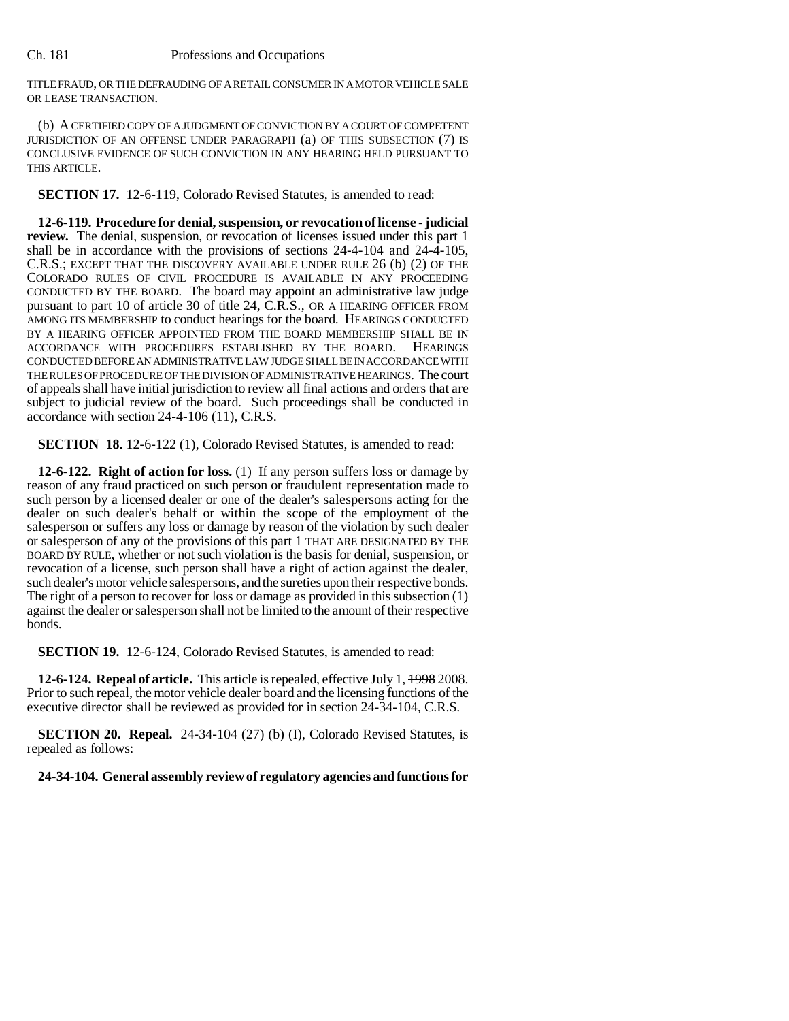TITLE FRAUD, OR THE DEFRAUDING OF A RETAIL CONSUMER IN A MOTOR VEHICLE SALE OR LEASE TRANSACTION.

(b) A CERTIFIED COPY OF A JUDGMENT OF CONVICTION BY A COURT OF COMPETENT JURISDICTION OF AN OFFENSE UNDER PARAGRAPH (a) OF THIS SUBSECTION (7) IS CONCLUSIVE EVIDENCE OF SUCH CONVICTION IN ANY HEARING HELD PURSUANT TO THIS ARTICLE.

**SECTION 17.** 12-6-119, Colorado Revised Statutes, is amended to read:

**12-6-119. Procedure for denial, suspension, or revocation of license - judicial review.** The denial, suspension, or revocation of licenses issued under this part 1 shall be in accordance with the provisions of sections 24-4-104 and 24-4-105, C.R.S.; EXCEPT THAT THE DISCOVERY AVAILABLE UNDER RULE 26 (b) (2) OF THE COLORADO RULES OF CIVIL PROCEDURE IS AVAILABLE IN ANY PROCEEDING CONDUCTED BY THE BOARD. The board may appoint an administrative law judge pursuant to part 10 of article 30 of title 24, C.R.S., OR A HEARING OFFICER FROM AMONG ITS MEMBERSHIP to conduct hearings for the board. HEARINGS CONDUCTED BY A HEARING OFFICER APPOINTED FROM THE BOARD MEMBERSHIP SHALL BE IN ACCORDANCE WITH PROCEDURES ESTABLISHED BY THE BOARD. HEARINGS CONDUCTED BEFORE AN ADMINISTRATIVE LAW JUDGE SHALL BE IN ACCORDANCE WITH THE RULES OF PROCEDURE OF THE DIVISION OF ADMINISTRATIVE HEARINGS. The court of appeals shall have initial jurisdiction to review all final actions and orders that are subject to judicial review of the board. Such proceedings shall be conducted in accordance with section 24-4-106 (11), C.R.S.

**SECTION 18.** 12-6-122 (1), Colorado Revised Statutes, is amended to read:

**12-6-122. Right of action for loss.** (1) If any person suffers loss or damage by reason of any fraud practiced on such person or fraudulent representation made to such person by a licensed dealer or one of the dealer's salespersons acting for the dealer on such dealer's behalf or within the scope of the employment of the salesperson or suffers any loss or damage by reason of the violation by such dealer or salesperson of any of the provisions of this part 1 THAT ARE DESIGNATED BY THE BOARD BY RULE, whether or not such violation is the basis for denial, suspension, or revocation of a license, such person shall have a right of action against the dealer, such dealer's motor vehicle salespersons, and the sureties upon their respective bonds. The right of a person to recover for loss or damage as provided in this subsection  $(1)$ against the dealer or salesperson shall not be limited to the amount of their respective bonds.

**SECTION 19.** 12-6-124, Colorado Revised Statutes, is amended to read:

**12-6-124. Repeal of article.** This article is repealed, effective July 1, 1998 2008. Prior to such repeal, the motor vehicle dealer board and the licensing functions of the executive director shall be reviewed as provided for in section 24-34-104, C.R.S.

**SECTION 20. Repeal.** 24-34-104 (27) (b) (I), Colorado Revised Statutes, is repealed as follows:

**24-34-104. General assembly review of regulatory agencies and functions for**